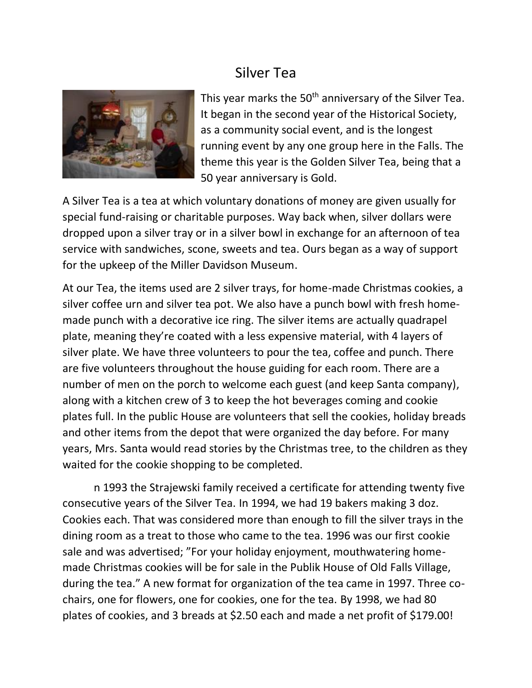## Silver Tea



This year marks the 50<sup>th</sup> anniversary of the Silver Tea. It began in the second year of the Historical Society, as a community social event, and is the longest running event by any one group here in the Falls. The theme this year is the Golden Silver Tea, being that a 50 year anniversary is Gold.

A Silver Tea is a tea at which voluntary donations of money are given usually for special fund-raising or charitable purposes. Way back when, silver dollars were dropped upon a silver tray or in a silver bowl in exchange for an afternoon of tea service with sandwiches, scone, sweets and tea. Ours began as a way of support for the upkeep of the Miller Davidson Museum.

At our Tea, the items used are 2 silver trays, for home-made Christmas cookies, a silver coffee urn and silver tea pot. We also have a punch bowl with fresh homemade punch with a decorative ice ring. The silver items are actually quadrapel plate, meaning they're coated with a less expensive material, with 4 layers of silver plate. We have three volunteers to pour the tea, coffee and punch. There are five volunteers throughout the house guiding for each room. There are a number of men on the porch to welcome each guest (and keep Santa company), along with a kitchen crew of 3 to keep the hot beverages coming and cookie plates full. In the public House are volunteers that sell the cookies, holiday breads and other items from the depot that were organized the day before. For many years, Mrs. Santa would read stories by the Christmas tree, to the children as they waited for the cookie shopping to be completed.

n 1993 the Strajewski family received a certificate for attending twenty five consecutive years of the Silver Tea. In 1994, we had 19 bakers making 3 doz. Cookies each. That was considered more than enough to fill the silver trays in the dining room as a treat to those who came to the tea. 1996 was our first cookie sale and was advertised; "For your holiday enjoyment, mouthwatering homemade Christmas cookies will be for sale in the Publik House of Old Falls Village, during the tea." A new format for organization of the tea came in 1997. Three cochairs, one for flowers, one for cookies, one for the tea. By 1998, we had 80 plates of cookies, and 3 breads at \$2.50 each and made a net profit of \$179.00!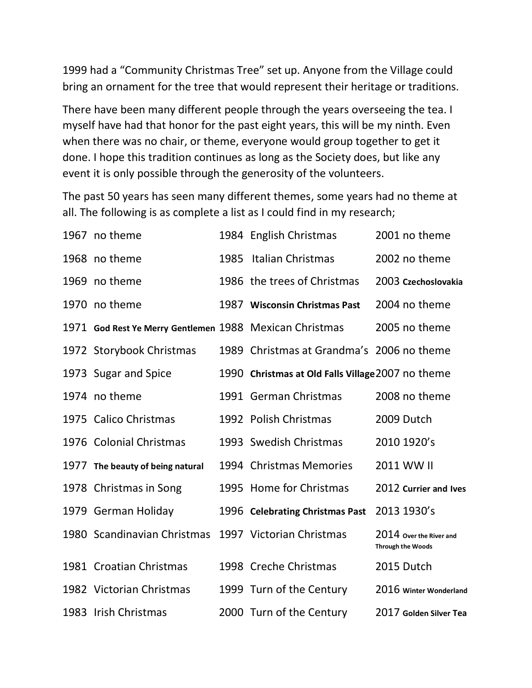1999 had a "Community Christmas Tree" set up. Anyone from the Village could bring an ornament for the tree that would represent their heritage or traditions.

There have been many different people through the years overseeing the tea. I myself have had that honor for the past eight years, this will be my ninth. Even when there was no chair, or theme, everyone would group together to get it done. I hope this tradition continues as long as the Society does, but like any event it is only possible through the generosity of the volunteers.

The past 50 years has seen many different themes, some years had no theme at all. The following is as complete a list as I could find in my research;

| 1967 no theme                                           |      | 1984 English Christmas                            | 2001 no theme                                       |
|---------------------------------------------------------|------|---------------------------------------------------|-----------------------------------------------------|
| 1968 no theme                                           | 1985 | Italian Christmas                                 | 2002 no theme                                       |
| 1969 no theme                                           |      | 1986 the trees of Christmas                       | 2003 Czechoslovakia                                 |
| 1970 no theme                                           | 1987 | <b>Wisconsin Christmas Past</b>                   | 2004 no theme                                       |
| 1971 God Rest Ye Merry Gentlemen 1988 Mexican Christmas |      |                                                   | 2005 no theme                                       |
| 1972 Storybook Christmas                                |      | 1989 Christmas at Grandma's 2006 no theme         |                                                     |
| 1973 Sugar and Spice                                    |      | 1990 Christmas at Old Falls Village 2007 no theme |                                                     |
| 1974 no theme                                           |      | 1991 German Christmas                             | 2008 no theme                                       |
| 1975 Calico Christmas                                   |      | 1992 Polish Christmas                             | 2009 Dutch                                          |
| 1976 Colonial Christmas                                 |      | 1993 Swedish Christmas                            | 2010 1920's                                         |
| 1977 The beauty of being natural                        |      | 1994 Christmas Memories                           | 2011 WW II                                          |
| 1978 Christmas in Song                                  |      | 1995 Home for Christmas                           | 2012 Currier and Ives                               |
| 1979 German Holiday                                     |      | 1996 Celebrating Christmas Past                   | 2013 1930's                                         |
| 1980 Scandinavian Christmas                             |      | 1997 Victorian Christmas                          | 2014 Over the River and<br><b>Through the Woods</b> |
| 1981 Croatian Christmas                                 |      | 1998 Creche Christmas                             | 2015 Dutch                                          |
| 1982 Victorian Christmas                                |      | 1999 Turn of the Century                          | 2016 Winter Wonderland                              |
| 1983 Irish Christmas                                    |      | 2000 Turn of the Century                          | 2017 Golden Silver Tea                              |